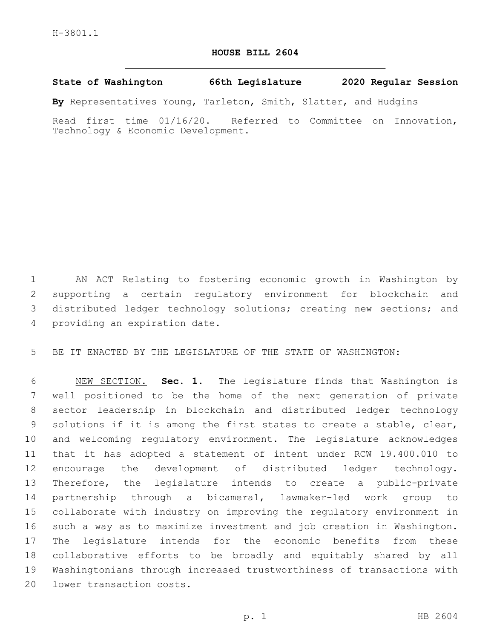## **HOUSE BILL 2604**

## **State of Washington 66th Legislature 2020 Regular Session**

**By** Representatives Young, Tarleton, Smith, Slatter, and Hudgins

Read first time 01/16/20. Referred to Committee on Innovation, Technology & Economic Development.

 AN ACT Relating to fostering economic growth in Washington by supporting a certain regulatory environment for blockchain and 3 distributed ledger technology solutions; creating new sections; and 4 providing an expiration date.

BE IT ENACTED BY THE LEGISLATURE OF THE STATE OF WASHINGTON:

 NEW SECTION. **Sec. 1.** The legislature finds that Washington is well positioned to be the home of the next generation of private sector leadership in blockchain and distributed ledger technology solutions if it is among the first states to create a stable, clear, and welcoming regulatory environment. The legislature acknowledges that it has adopted a statement of intent under RCW 19.400.010 to encourage the development of distributed ledger technology. Therefore, the legislature intends to create a public-private partnership through a bicameral, lawmaker-led work group to collaborate with industry on improving the regulatory environment in such a way as to maximize investment and job creation in Washington. The legislature intends for the economic benefits from these collaborative efforts to be broadly and equitably shared by all Washingtonians through increased trustworthiness of transactions with lower transaction costs.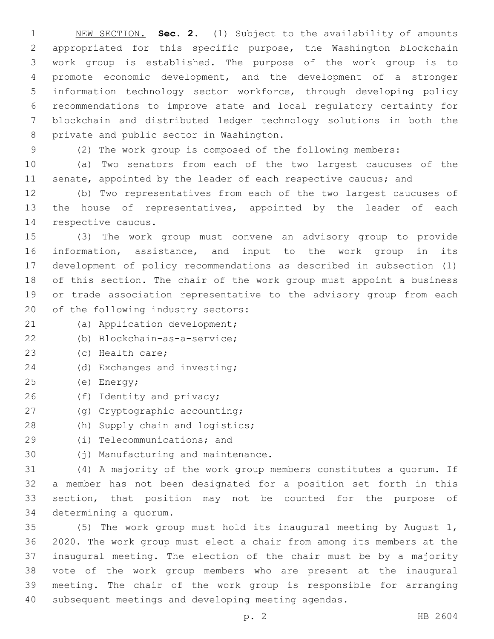NEW SECTION. **Sec. 2.** (1) Subject to the availability of amounts appropriated for this specific purpose, the Washington blockchain work group is established. The purpose of the work group is to promote economic development, and the development of a stronger information technology sector workforce, through developing policy recommendations to improve state and local regulatory certainty for blockchain and distributed ledger technology solutions in both the private and public sector in Washington.

(2) The work group is composed of the following members:

 (a) Two senators from each of the two largest caucuses of the 11 senate, appointed by the leader of each respective caucus; and

 (b) Two representatives from each of the two largest caucuses of 13 the house of representatives, appointed by the leader of each 14 respective caucus.

 (3) The work group must convene an advisory group to provide information, assistance, and input to the work group in its development of policy recommendations as described in subsection (1) of this section. The chair of the work group must appoint a business or trade association representative to the advisory group from each 20 of the following industry sectors:

- 21 (a) Application development;
- (b) Blockchain-as-a-service;22
- 23 (c) Health care;
- 24 (d) Exchanges and investing;
- (e) Energy;25
- 26 (f) Identity and privacy;
- 27 (g) Cryptographic accounting;
- 28 (h) Supply chain and logistics;
- 29 (i) Telecommunications; and
- 30 (j) Manufacturing and maintenance.

 (4) A majority of the work group members constitutes a quorum. If a member has not been designated for a position set forth in this section, that position may not be counted for the purpose of 34 determining a quorum.

 (5) The work group must hold its inaugural meeting by August 1, 2020. The work group must elect a chair from among its members at the inaugural meeting. The election of the chair must be by a majority vote of the work group members who are present at the inaugural meeting. The chair of the work group is responsible for arranging subsequent meetings and developing meeting agendas.